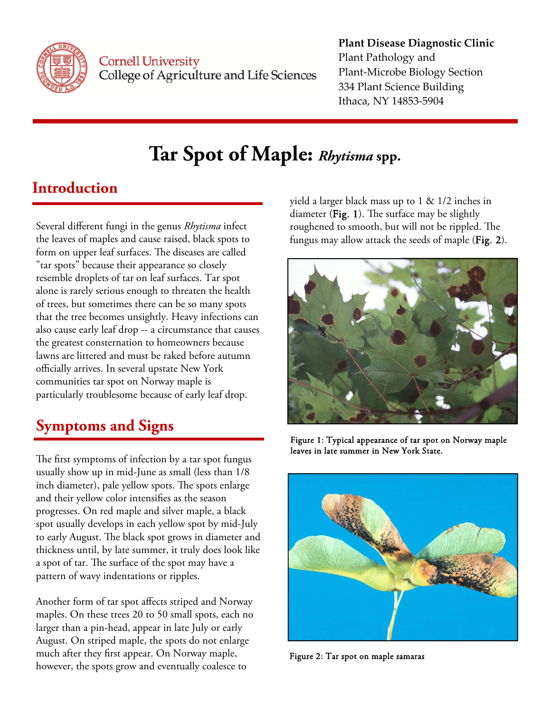

**Cornell University** College of Agriculture and Life Sciences

#### **Plant Disease Diagnostic Clinic** Plant Pathology and Plant‐Microbe Biology Section 334 Plant Science Building Ithaca, NY 14853‐5904

# **Tar Spot of Maple:** *Rhytisma* **spp.**

## **Introduction**

Several different fungi in the genus *Rhytisma* infect the leaves of maples and cause raised, black spots to form on upper leaf surfaces. The diseases are called "tar spots" because their appearance so closely resemble droplets of tar on leaf surfaces. Tar spot alone is rarely serious enough to threaten the health of trees, but sometimes there can be so many spots that the tree becomes unsightly. Heavy infections can also cause early leaf drop -- a circumstance that causes the greatest consternation to homeowners because lawns are littered and must be raked before autumn officially arrives. In several upstate New York communities tar spot on Norway maple is particularly troublesome because of early leaf drop.

# **Symptoms and Signs**

The first symptoms of infection by a tar spot fungus usually show up in mid-June as small (less than 1/8 inch diameter), pale yellow spots. The spots enlarge and their yellow color intensifies as the season progresses. On red maple and silver maple, a black spot usually develops in each yellow spot by mid-July to early August. The black spot grows in diameter and thickness until, by late summer, it truly does look like a spot of tar. The surface of the spot may have a pattern of wavy indentations or ripples.

Another form of tar spot affects striped and Norway maples. On these trees 20 to 50 small spots, each no larger than a pin-head, appear in late July or early August. On striped maple, the spots do not enlarge much after they first appear. On Norway maple, however, the spots grow and eventually coalesce to

yield a larger black mass up to 1 & 1/2 inches in diameter ( $\text{Fig. 1}$ ). The surface may be slightly roughened to smooth, but will not be rippled. The fungus may allow attack the seeds of maple (Fig. 2).



Figure 1: Typical appearance of tar spot on Norway maple leaves in late summer in New York State.



Figure 2: Tar spot on maple samaras